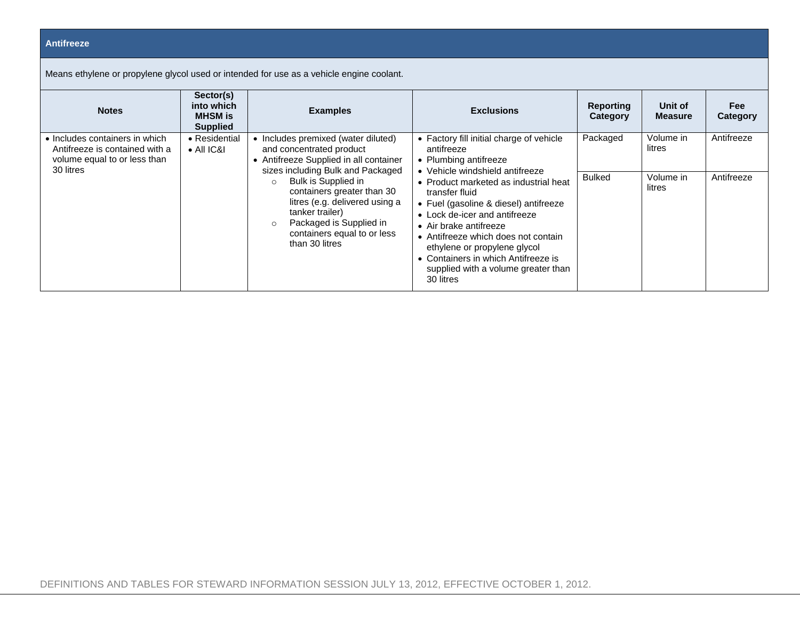## **Antifreeze**

Means ethylene or propylene glycol used or intended for use as a vehicle engine coolant.

| <b>Notes</b>                                                                                                  | Sector(s)<br>into which<br><b>MHSM</b> is<br><b>Supplied</b> | <b>Examples</b>                                                                                                                                                                                                                                                                                                                                              | <b>Exclusions</b>                                                                                                                                                                                                                                                                                                                                                                                                                                   | <b>Reporting</b><br>Category | Unit of<br><b>Measure</b> | Fee<br>Category |
|---------------------------------------------------------------------------------------------------------------|--------------------------------------------------------------|--------------------------------------------------------------------------------------------------------------------------------------------------------------------------------------------------------------------------------------------------------------------------------------------------------------------------------------------------------------|-----------------------------------------------------------------------------------------------------------------------------------------------------------------------------------------------------------------------------------------------------------------------------------------------------------------------------------------------------------------------------------------------------------------------------------------------------|------------------------------|---------------------------|-----------------|
| • Includes containers in which<br>Antifreeze is contained with a<br>volume equal to or less than<br>30 litres | • Residential<br>$\bullet$ All IC&I                          | • Includes premixed (water diluted)<br>and concentrated product<br>• Antifreeze Supplied in all container<br>sizes including Bulk and Packaged<br>Bulk is Supplied in<br>$\bigcap$<br>containers greater than 30<br>litres (e.g. delivered using a<br>tanker trailer)<br>Packaged is Supplied in<br>$\circ$<br>containers equal to or less<br>than 30 litres | • Factory fill initial charge of vehicle<br>antifreeze<br>• Plumbing antifreeze<br>• Vehicle windshield antifreeze<br>• Product marketed as industrial heat<br>transfer fluid<br>• Fuel (gasoline & diesel) antifreeze<br>• Lock de-icer and antifreeze<br>• Air brake antifreeze<br>• Antifreeze which does not contain<br>ethylene or propylene glycol<br>• Containers in which Antifreeze is<br>supplied with a volume greater than<br>30 litres | Packaged                     | Volume in<br>litres       | Antifreeze      |
|                                                                                                               |                                                              |                                                                                                                                                                                                                                                                                                                                                              |                                                                                                                                                                                                                                                                                                                                                                                                                                                     | <b>Bulked</b>                | Volume in<br>litres       | Antifreeze      |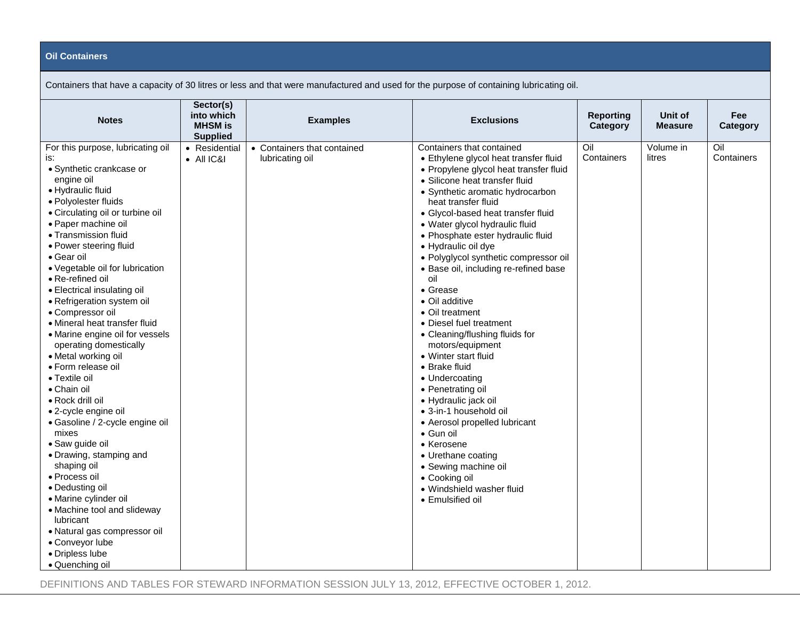## **Oil Containers**

| Containers that have a capacity of 30 litres or less and that were manufactured and used for the purpose of containing lubricating oil.                                                                                                                                                                                                                                                                                                                                                                                                                                                                                                                                                                                                                                                                                                                                                                                              |                                                              |                                                |                                                                                                                                                                                                                                                                                                                                                                                                                                                                                                                                                                                                                                                                                                                                                                                                                                                                                        |                              |                           |                        |  |  |
|--------------------------------------------------------------------------------------------------------------------------------------------------------------------------------------------------------------------------------------------------------------------------------------------------------------------------------------------------------------------------------------------------------------------------------------------------------------------------------------------------------------------------------------------------------------------------------------------------------------------------------------------------------------------------------------------------------------------------------------------------------------------------------------------------------------------------------------------------------------------------------------------------------------------------------------|--------------------------------------------------------------|------------------------------------------------|----------------------------------------------------------------------------------------------------------------------------------------------------------------------------------------------------------------------------------------------------------------------------------------------------------------------------------------------------------------------------------------------------------------------------------------------------------------------------------------------------------------------------------------------------------------------------------------------------------------------------------------------------------------------------------------------------------------------------------------------------------------------------------------------------------------------------------------------------------------------------------------|------------------------------|---------------------------|------------------------|--|--|
| <b>Notes</b>                                                                                                                                                                                                                                                                                                                                                                                                                                                                                                                                                                                                                                                                                                                                                                                                                                                                                                                         | Sector(s)<br>into which<br><b>MHSM</b> is<br><b>Supplied</b> | <b>Examples</b>                                | <b>Exclusions</b>                                                                                                                                                                                                                                                                                                                                                                                                                                                                                                                                                                                                                                                                                                                                                                                                                                                                      | <b>Reporting</b><br>Category | Unit of<br><b>Measure</b> | <b>Fee</b><br>Category |  |  |
| For this purpose, lubricating oil<br>is:<br>· Synthetic crankcase or<br>engine oil<br>• Hydraulic fluid<br>· Polyolester fluids<br>• Circulating oil or turbine oil<br>• Paper machine oil<br>• Transmission fluid<br>• Power steering fluid<br>• Gear oil<br>• Vegetable oil for lubrication<br>• Re-refined oil<br>• Electrical insulating oil<br>• Refrigeration system oil<br>• Compressor oil<br>• Mineral heat transfer fluid<br>• Marine engine oil for vessels<br>operating domestically<br>• Metal working oil<br>• Form release oil<br>• Textile oil<br>• Chain oil<br>• Rock drill oil<br>• 2-cycle engine oil<br>· Gasoline / 2-cycle engine oil<br>mixes<br>· Saw guide oil<br>• Drawing, stamping and<br>shaping oil<br>• Process oil<br>• Dedusting oil<br>• Marine cylinder oil<br>• Machine tool and slideway<br>lubricant<br>• Natural gas compressor oil<br>• Conveyor lube<br>· Dripless lube<br>· Quenching oil | • Residential<br>$\bullet$ All IC&I                          | • Containers that contained<br>lubricating oil | Containers that contained<br>• Ethylene glycol heat transfer fluid<br>• Propylene glycol heat transfer fluid<br>· Silicone heat transfer fluid<br>• Synthetic aromatic hydrocarbon<br>heat transfer fluid<br>• Glycol-based heat transfer fluid<br>· Water glycol hydraulic fluid<br>• Phosphate ester hydraulic fluid<br>· Hydraulic oil dye<br>· Polyglycol synthetic compressor oil<br>• Base oil, including re-refined base<br>oil<br>• Grease<br>• Oil additive<br>• Oil treatment<br>• Diesel fuel treatment<br>• Cleaning/flushing fluids for<br>motors/equipment<br>• Winter start fluid<br>• Brake fluid<br>• Undercoating<br>• Penetrating oil<br>· Hydraulic jack oil<br>• 3-in-1 household oil<br>• Aerosol propelled lubricant<br>• Gun oil<br>• Kerosene<br>• Urethane coating<br>• Sewing machine oil<br>• Cooking oil<br>• Windshield washer fluid<br>• Emulsified oil | Oil<br>Containers            | Volume in<br>litres       | Oil<br>Containers      |  |  |

Containers that have a capacity of 30 litres or less and that were manufactured and used for the purpose of containing lubricating oil.

DEFINITIONS AND TABLES FOR STEWARD INFORMATION SESSION JULY 13, 2012, EFFECTIVE OCTOBER 1, 2012.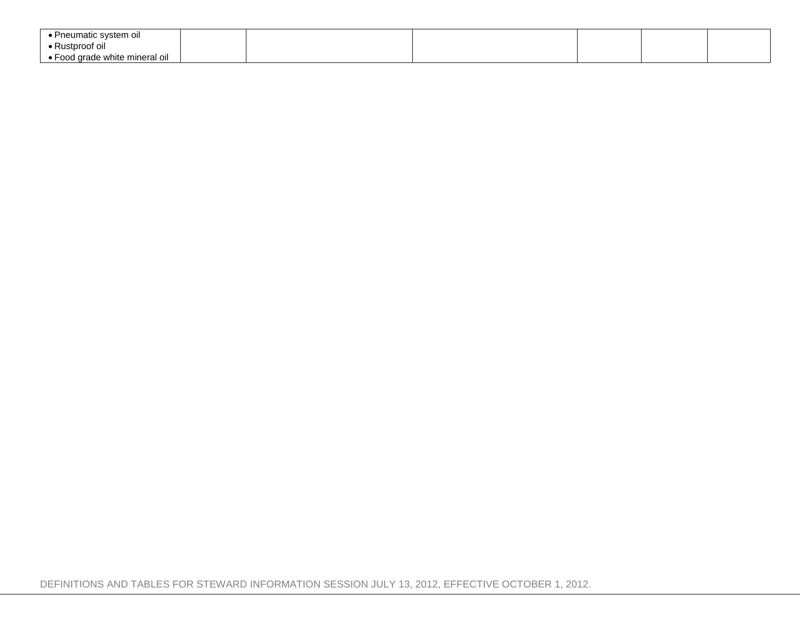| Pneumatic system oil           |  |  |  |
|--------------------------------|--|--|--|
| ● Rustproof oil_               |  |  |  |
| ∙ Food grade white mineral oil |  |  |  |

DEFINITIONS AND TABLES FOR STEWARD INFORMATION SESSION JULY 13, 2012, EFFECTIVE OCTOBER 1, 2012.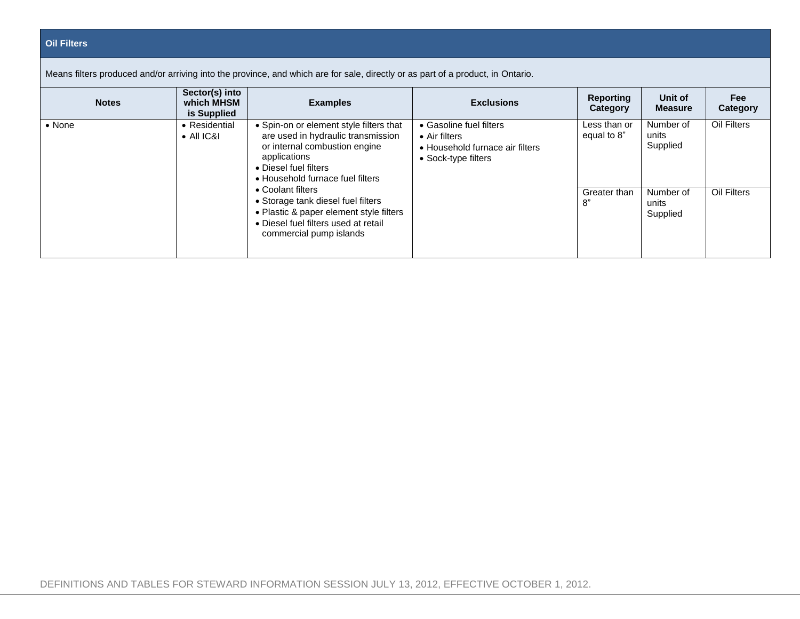| <b>Oil Filters</b> |
|--------------------|

| <b>Notes</b> | Sector(s) into<br>which MHSM<br>is Supplied | <b>Examples</b>                                                                                                                                                                             | <b>Exclusions</b>                                                                                          | <b>Reporting</b><br>Category | Unit of<br><b>Measure</b>      | <b>Fee</b><br>Categor |
|--------------|---------------------------------------------|---------------------------------------------------------------------------------------------------------------------------------------------------------------------------------------------|------------------------------------------------------------------------------------------------------------|------------------------------|--------------------------------|-----------------------|
| • None       | • Residential<br>$\bullet$ All IC&I         | • Spin-on or element style filters that<br>are used in hydraulic transmission<br>or internal combustion engine<br>applications<br>• Diesel fuel filters<br>• Household furnace fuel filters | • Gasoline fuel filters<br>$\bullet$ Air filters<br>• Household furnace air filters<br>• Sock-type filters | Less than or<br>equal to 8"  | Number of<br>units<br>Supplied | Oil Filters           |
|              |                                             | • Coolant filters<br>• Storage tank diesel fuel filters<br>• Plastic & paper element style filters<br>• Diesel fuel filters used at retail<br>commercial pump islands                       |                                                                                                            | Greater than<br>8"           | Number of<br>units<br>Supplied | Oil Filters           |

**Fee Category**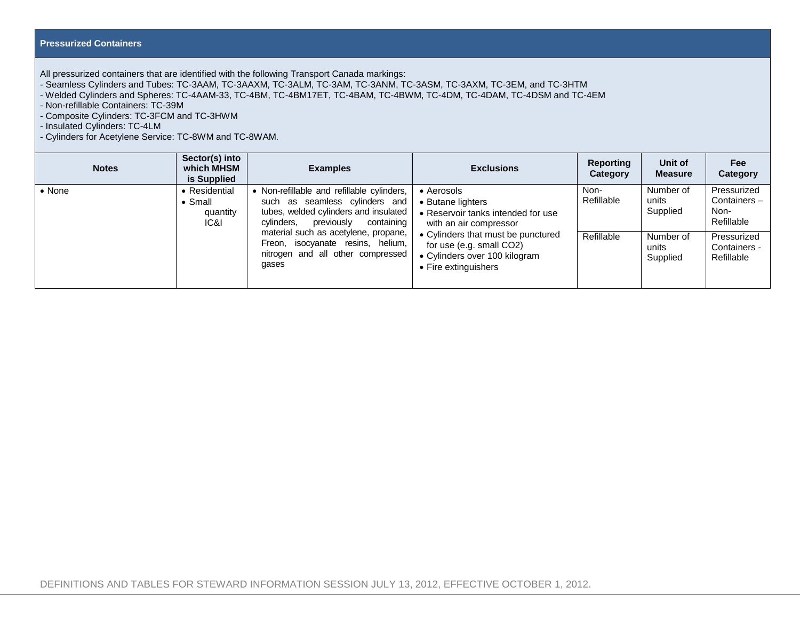## **Pressurized Containers**

All pressurized containers that are identified with the following Transport Canada markings:

- Seamless Cylinders and Tubes: TC-3AAM, TC-3AAXM, TC-3ALM, TC-3AM, TC-3ANM, TC-3ASM, TC-3AXM, TC-3EM, and TC-3HTM

- Welded Cylinders and Spheres: TC-4AAM-33, TC-4BM, TC-4BM17ET, TC-4BAM, TC-4BWM, TC-4DM, TC-4DAM, TC-4DSM and TC-4EM

- Non-refillable Containers: TC-39M

- Composite Cylinders: TC-3FCM and TC-3HWM

- Insulated Cylinders: TC-4LM

- Cylinders for Acetylene Service: TC-8WM and TC-8WAM.

| <b>Notes</b>   | Sector(s) into<br>which MHSM<br>is Supplied          | <b>Examples</b>                                                                                                                                                 | <b>Exclusions</b>                                                                                                       | Reporting<br>Category | Unit of<br><b>Measure</b>      | <b>Fee</b><br>Category                           |
|----------------|------------------------------------------------------|-----------------------------------------------------------------------------------------------------------------------------------------------------------------|-------------------------------------------------------------------------------------------------------------------------|-----------------------|--------------------------------|--------------------------------------------------|
| $\bullet$ None | • Residential<br>$\bullet$ Small<br>quantity<br>IC&I | • Non-refillable and refillable cylinders,<br>such as seamless cylinders and<br>tubes, welded cylinders and insulated<br>containing<br>cylinders,<br>previously | • Aerosols<br>• Butane lighters<br>• Reservoir tanks intended for use<br>with an air compressor                         | Non-<br>Refillable    | Number of<br>units<br>Supplied | Pressurized<br>Containers-<br>Non-<br>Refillable |
|                |                                                      | material such as acetylene, propane,<br>Freon, isocyanate resins, helium,<br>nitrogen and all other compressed<br>gases                                         | • Cylinders that must be punctured<br>for use (e.g. small CO2)<br>• Cylinders over 100 kilogram<br>• Fire extinguishers | Refillable            | Number of<br>units<br>Supplied | Pressurized<br>Containers -<br>Refillable        |